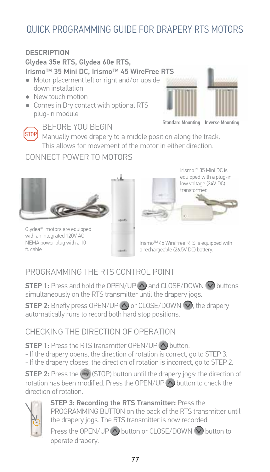#### **DESCRIPTION**

Glydea 35e RTS, Glydea 60e RTS.

Irismo™ 35 Mini DC. Irismo™ 45 WireFree RTS

- Motor placement left or right and/or upside down installation
- New touch motion
- Comes in Dry contact with optional RTS plua-in module



**Standard Mounting Inverse Mounting** 

**STOPI** Manually move drapery to a middle position along the track. This allows for movement of the motor in either direction.

## CONNECT POWER TO MOTORS

BEFORE YOU BEGIN





Irismo™ 35 Mini DC is equipped with a plug-in low voltage (24V DC) transformer.

Glydea<sup>®</sup> motors are equipped with an integrated 120V AC NEMA power plug with a 10 ft cable

Irismo™ 45 WireFree RTS is equipped with a rechargeable (26.5V DC) battery.

## PROGRAMMING THE RTS CONTROL POINT

**STEP 1:** Press and hold the OPEN/UP  $\bigwedge$  and CLOSE/DOWN  $\bigvee$  buttons simultaneously on the RTS transmitter until the drapery jogs.

**STEP 2:** Briefly press OPEN/UP  $\bigwedge$  or CLOSE/DOWN  $\bigvee$ , the drapery automatically runs to record both hard stop positions.

### CHECKING THE DIRECTION OF OPERATION

**STEP 1:** Press the RTS transmitter OPEN/UP << >>
</a>
</a>
button.

- If the drapery opens, the direction of rotation is correct, go to STEP 3.
- If the drapery closes, the direction of rotation is incorrect, go to STEP 2.

**STEP 2:** Press the (F) (STOP) button until the drapery jogs: the direction of rotation has been modified. Press the OPEN/UP (A) button to check the direction of rotation.



STEP 3: Recording the RTS Transmitter: Press the PROGRAMMING BUTTON on the back of the RTS transmitter until the drapery jogs. The RTS transmitter is now recorded.

Press the OPEN/UP  $\wedge$  button or CLOSE/DOWN  $\vee$  button to operate drapery.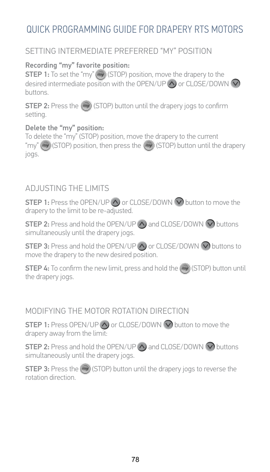#### SETTING INTERMEDIATE PREFERRED "MY" POSITION

#### Recording "my" favorite position:

**STEP 1:** To set the "my" (--) (STOP) position, move the drapery to the desired intermediate position with the OPEN/UP  $\wedge$  or CLOSE/DOWN  $\vee$ **buttons** 

**STEP 2:** Press the (b) (STOP) button until the drapery jogs to confirm setting.

#### Delete the "my" position:

To delete the "my" (STOP) position, move the drapery to the current "my" (=y) (STOP) position, then press the (=y) (STOP) button until the drapery jogs.

#### AD ILISTING THE LIMITS

**STEP 1:** Press the OPEN/UP  $\bigwedge$  or CLOSE/DOWN  $\bigvee$  button to move the drapery to the limit to be re-adjusted.

**STEP 2:** Press and hold the OPEN/UP  $\wedge$  and CLOSE/DOWN  $\vee$  buttons simultaneously until the drapery jogs.

**STEP 3:** Press and hold the OPEN/UP  $\wedge$  or CLOSE/DOWN  $\bigcirc$  buttons to move the drapery to the new desired position.

**STEP 4:** To confirm the new limit, press and hold the (++) (STOP) button until the drapery jogs.

#### MODIFYING THE MOTOR ROTATION DIRECTION

**STEP 1:** Press OPEN/UP  $\bigwedge$  or CLOSE/DOWN  $\bigvee$  button to move the drapery away from the limit:

**STEP 2:** Press and hold the OPEN/UP  $\wedge$  and CLOSE/DOWN  $\vee$  buttons simultaneously until the drapery jogs.

**STEP 3:** Press the (FW) (STOP) button until the drapery jogs to reverse the rotation direction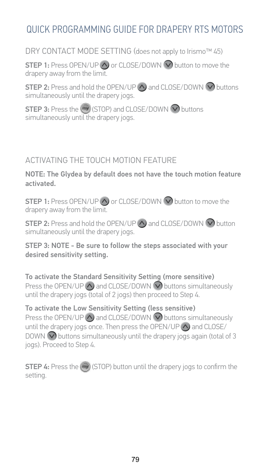DRY CONTACT MODE SETTING (does not apply to Irismo™ 45)

**STEP 1:** Press OPEN/UP  $\bigwedge$  or CLOSE/DOWN  $\bigvee$  button to move the drapery away from the limit.

**STEP 2:** Press and hold the OPEN/UP  $\bigwedge$  and CLOSE/DOWN  $\bigvee$  buttons simultaneously until the drapery jogs.

STEP 3: Press the (→ ISTOP) and CLOSE/DOWN ⊙ buttons simultaneously until the drapery jogs.

### ACTIVATING THE TOUCH MOTION FEATURE

NOTE: The Glydea by default does not have the touch motion feature activated.

**STEP 1:** Press OPEN/UP  $\bigwedge$  or CLOSE/DOWN  $\bigvee$  button to move the drapery away from the limit.

**STEP 2:** Press and hold the OPEN/UP  $\wedge$  and CLOSE/DOWN  $\vee$  button simultaneously until the drapery jogs.

STEP 3: NOTE - Be sure to follow the steps associated with your desired sensitivity setting.

To activate the Standard Sensitivity Setting (more sensitive) Press the OPEN/UP  $\bigwedge$  and CLOSE/DOWN  $\bigvee$  buttons simultaneously until the drapery jogs (total of 2 jogs) then proceed to Step 4.

To activate the Low Sensitivity Setting (less sensitive) Press the OPEN/UP  $\wedge$  and CLOSE/DOWN  $\bigcirc$  buttons simultaneously until the drapery jogs once. Then press the OPEN/UP <a>>
and CLOSE/ DOWN  $\bigcirc$  buttons simultaneously until the drapery jogs again (total of 3 jogs). Proceed to Step 4.

**STEP 4:** Press the (Fig. (STOP) button until the drapery jogs to confirm the setting.